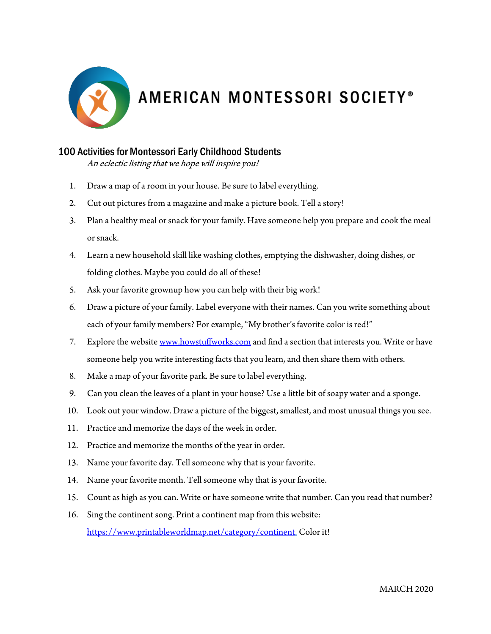

## AMERICAN MONTESSORI SOCIETY®

## 100 Activities for Montessori Early Childhood Students

An eclectic listing that we hope will inspire you!

- 1. Draw a map of a room in your house. Be sure to label everything.
- 2. Cut out pictures from a magazine and make a picture book. Tell a story!
- 3. Plan a healthy meal or snack for your family. Have someone help you prepare and cook the meal or snack.
- 4. Learn a new household skill like washing clothes, emptying the dishwasher, doing dishes, or folding clothes. Maybe you could do all of these!
- 5. Ask your favorite grownup how you can help with their big work!
- 6. Draw a picture of your family. Label everyone with their names. Can you write something about each of your family members? For example, "My brother's favorite color is red!"
- 7. Explore the website www.howstuffworks.com and find a section that interests you. Write or have someone help you write interesting facts that you learn, and then share them with others.
- 8. Make a map of your favorite park. Be sure to label everything.
- 9. Can you clean the leaves of a plant in your house? Use a little bit of soapy water and a sponge.
- 10. Look out your window. Draw a picture of the biggest, smallest, and most unusual things you see.
- 11. Practice and memorize the days of the week in order.
- 12. Practice and memorize the months of the year in order.
- 13. Name your favorite day. Tell someone why that is your favorite.
- 14. Name your favorite month. Tell someone why that is your favorite.
- 15. Count as high as you can. Write or have someone write that number. Can you read that number?
- 16. Sing the continent song. Print a continent map from this website: https://www.printableworldmap.net/category/continent. Color it!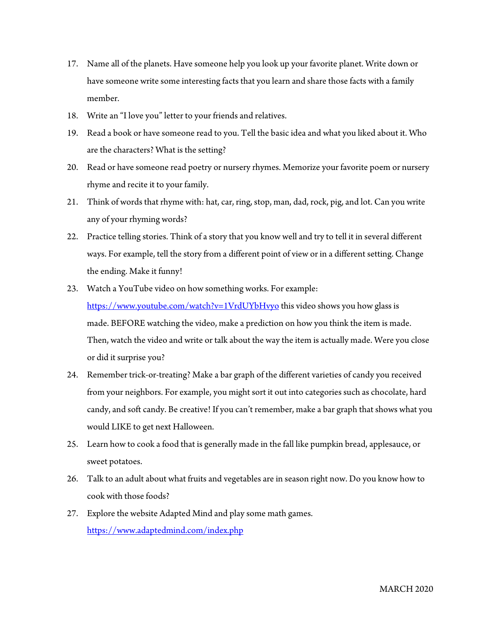- 17. Name all of the planets. Have someone help you look up your favorite planet. Write down or have someone write some interesting facts that you learn and share those facts with a family member.
- 18. Write an "I love you" letter to your friends and relatives.
- 19. Read a book or have someone read to you. Tell the basic idea and what you liked about it. Who are the characters? What is the setting?
- 20. Read or have someone read poetry or nursery rhymes. Memorize your favorite poem or nursery rhyme and recite it to your family.
- 21. Think of words that rhyme with: hat, car, ring, stop, man, dad, rock, pig, and lot. Can you write any of your rhyming words?
- 22. Practice telling stories. Think of a story that you know well and try to tell it in several different ways. For example, tell the story from a different point of view or in a different setting. Change the ending. Make it funny!
- 23. Watch a YouTube video on how something works. For example: https://www.youtube.com/watch?v=1VrdUYbHvyo this video shows you how glass is made. BEFORE watching the video, make a prediction on how you think the item is made. Then, watch the video and write or talk about the way the item is actually made. Were you close or did it surprise you?
- 24. Remember trick-or-treating? Make a bar graph of the different varieties of candy you received from your neighbors. For example, you might sort it out into categories such as chocolate, hard candy, and soft candy. Be creative! If you can't remember, make a bar graph that shows what you would LIKE to get next Halloween.
- 25. Learn how to cook a food that is generally made in the fall like pumpkin bread, applesauce, or sweet potatoes.
- 26. Talk to an adult about what fruits and vegetables are in season right now. Do you know how to cook with those foods?
- 27. Explore the website Adapted Mind and play some math games. https://www.adaptedmind.com/index.php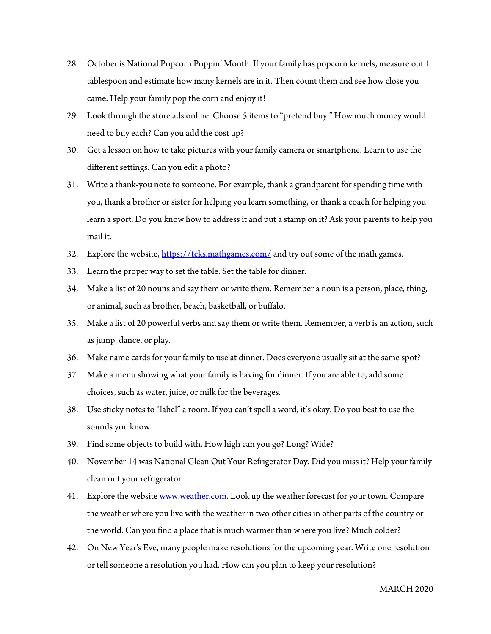- 28. October is National Popcorn Poppin' Month. If your family has popcorn kernels, measure out 1 tablespoon and estimate how many kernels are in it. Then count them and see how close you came. Help your family pop the corn and enjoy it!
- 29. Look through the store ads online. Choose 5 items to "pretend buy." How much money would need to buy each? Can you add the cost up?
- 30. Get a lesson on how to take pictures with your family camera or smartphone. Learn to use the different settings. Can you edit a photo?
- 31. Write a thank-you note to someone. For example, thank a grandparent for spending time with you, thank a brother or sister for helping you learn something, or thank a coach for helping you learn a sport. Do you know how to address it and put a stamp on it? Ask your parents to help you mail it.
- 32. Explore the website,  $\frac{https://teks.mathgames.com/}{https://teks.mathgames.com/}$  and try out some of the math games.
- 33. Learn the proper way to set the table. Set the table for dinner.
- 34. Make a list of 20 nouns and say them or write them. Remember a noun is a person, place, thing, or animal, such as brother, beach, basketball, or buffalo.
- 35. Make a list of 20 powerful verbs and say them or write them. Remember, a verb is an action, such as jump, dance, or play.
- 36. Make name cards for your family to use at dinner. Does everyone usually sit at the same spot?
- 37. Make a menu showing what your family is having for dinner. If you are able to, add some choices, such as water, juice, or milk for the beverages.
- 38. Use sticky notes to "label" a room. If you can't spell a word, it's okay. Do you best to use the sounds you know.
- 39. Find some objects to build with. How high can you go? Long? Wide?
- 40. November 14 was National Clean Out Your Refrigerator Day. Did you miss it? Help your family clean out your refrigerator.
- 41. Explore the website www.weather.com. Look up the weather forecast for your town. Compare the weather where you live with the weather in two other cities in other parts of the country or the world. Can you find a place that is much warmer than where you live? Much colder?
- 42. On New Year's Eve, many people make resolutions for the upcoming year. Write one resolution or tell someone a resolution you had. How can you plan to keep your resolution?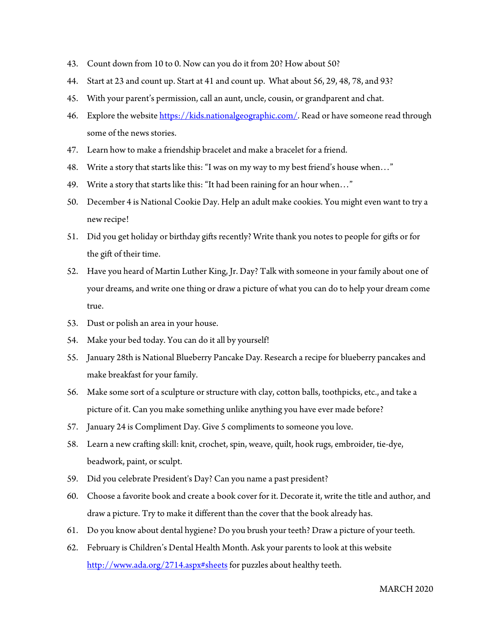- 43. Count down from 10 to 0. Now can you do it from 20? How about 50?
- 44. Start at 23 and count up. Start at 41 and count up. What about 56, 29, 48, 78, and 93?
- 45. With your parent's permission, call an aunt, uncle, cousin, or grandparent and chat.
- 46. Explore the website https://kids.nationalgeographic.com/. Read or have someone read through some of the news stories.
- 47. Learn how to make a friendship bracelet and make a bracelet for a friend.
- 48. Write a story that starts like this: "I was on my way to my best friend's house when…"
- 49. Write a story that starts like this: "It had been raining for an hour when…"
- 50. December 4 is National Cookie Day. Help an adult make cookies. You might even want to try a new recipe!
- 51. Did you get holiday or birthday gifts recently? Write thank you notes to people for gifts or for the gift of their time.
- 52. Have you heard of Martin Luther King, Jr. Day? Talk with someone in your family about one of your dreams, and write one thing or draw a picture of what you can do to help your dream come true.
- 53. Dust or polish an area in your house.
- 54. Make your bed today. You can do it all by yourself!
- 55. January 28th is National Blueberry Pancake Day. Research a recipe for blueberry pancakes and make breakfast for your family.
- 56. Make some sort of a sculpture or structure with clay, cotton balls, toothpicks, etc., and take a picture of it. Can you make something unlike anything you have ever made before?
- 57. January 24 is Compliment Day. Give 5 compliments to someone you love.
- 58. Learn a new crafting skill: knit, crochet, spin, weave, quilt, hook rugs, embroider, tie-dye, beadwork, paint, or sculpt.
- 59. Did you celebrate President's Day? Can you name a past president?
- 60. Choose a favorite book and create a book cover for it. Decorate it, write the title and author, and draw a picture. Try to make it different than the cover that the book already has.
- 61. Do you know about dental hygiene? Do you brush your teeth? Draw a picture of your teeth.
- 62. February is Children's Dental Health Month. Ask your parents to look at this website http://www.ada.org/2714.aspx#sheets for puzzles about healthy teeth.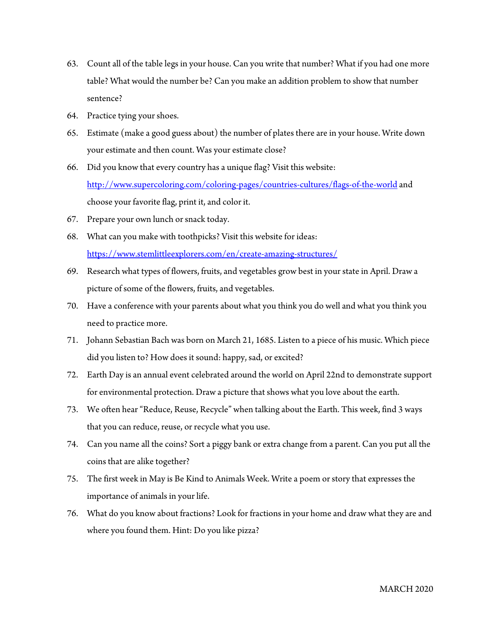- 63. Count all of the table legs in your house. Can you write that number? What if you had one more table? What would the number be? Can you make an addition problem to show that number sentence?
- 64. Practice tying your shoes.
- 65. Estimate (make a good guess about) the number of plates there are in your house. Write down your estimate and then count. Was your estimate close?
- 66. Did you know that every country has a unique flag? Visit this website: http://www.supercoloring.com/coloring-pages/countries-cultures/flags-of-the-world and choose your favorite flag, print it, and color it.
- 67. Prepare your own lunch or snack today.
- 68. What can you make with toothpicks? Visit this website for ideas: https://www.stemlittleexplorers.com/en/create-amazing-structures/
- 69. Research what types of flowers, fruits, and vegetables grow best in your state in April. Draw a picture of some of the flowers, fruits, and vegetables.
- 70. Have a conference with your parents about what you think you do well and what you think you need to practice more.
- 71. Johann Sebastian Bach was born on March 21, 1685. Listen to a piece of his music. Which piece did you listen to? How does it sound: happy, sad, or excited?
- 72. Earth Day is an annual event celebrated around the world on April 22nd to demonstrate support for environmental protection. Draw a picture that shows what you love about the earth.
- 73. We often hear "Reduce, Reuse, Recycle" when talking about the Earth. This week, find 3 ways that you can reduce, reuse, or recycle what you use.
- 74. Can you name all the coins? Sort a piggy bank or extra change from a parent. Can you put all the coins that are alike together?
- 75. The first week in May is Be Kind to Animals Week. Write a poem or story that expresses the importance of animals in your life.
- 76. What do you know about fractions? Look for fractions in your home and draw what they are and where you found them. Hint: Do you like pizza?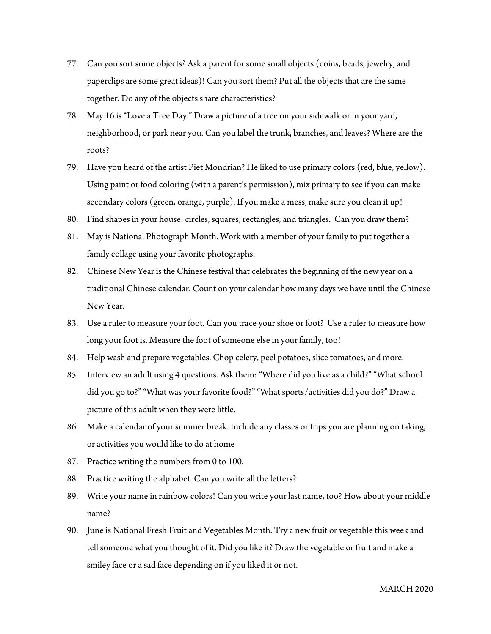- 77. Can you sort some objects? Ask a parent for some small objects (coins, beads, jewelry, and paperclips are some great ideas)! Can you sort them? Put all the objects that are the same together. Do any of the objects share characteristics?
- 78. May 16 is "Love a Tree Day." Draw a picture of a tree on your sidewalk or in your yard, neighborhood, or park near you. Can you label the trunk, branches, and leaves? Where are the roots?
- 79. Have you heard of the artist Piet Mondrian? He liked to use primary colors (red, blue, yellow). Using paint or food coloring (with a parent's permission), mix primary to see if you can make secondary colors (green, orange, purple). If you make a mess, make sure you clean it up!
- 80. Find shapes in your house: circles, squares, rectangles, and triangles. Can you draw them?
- 81. May is National Photograph Month. Work with a member of your family to put together a family collage using your favorite photographs.
- 82. Chinese New Year is the Chinese festival that celebrates the beginning of the new year on a traditional Chinese calendar. Count on your calendar how many days we have until the Chinese New Year.
- 83. Use a ruler to measure your foot. Can you trace your shoe or foot? Use a ruler to measure how long your foot is. Measure the foot of someone else in your family, too!
- 84. Help wash and prepare vegetables. Chop celery, peel potatoes, slice tomatoes, and more.
- 85. Interview an adult using 4 questions. Ask them: "Where did you live as a child?" "What school did you go to?" "What was your favorite food?" "What sports/activities did you do?" Draw a picture of this adult when they were little.
- 86. Make a calendar of your summer break. Include any classes or trips you are planning on taking, or activities you would like to do at home
- 87. Practice writing the numbers from 0 to 100.
- 88. Practice writing the alphabet. Can you write all the letters?
- 89. Write your name in rainbow colors! Can you write your last name, too? How about your middle name?
- 90. June is National Fresh Fruit and Vegetables Month. Try a new fruit or vegetable this week and tell someone what you thought of it. Did you like it? Draw the vegetable or fruit and make a smiley face or a sad face depending on if you liked it or not.